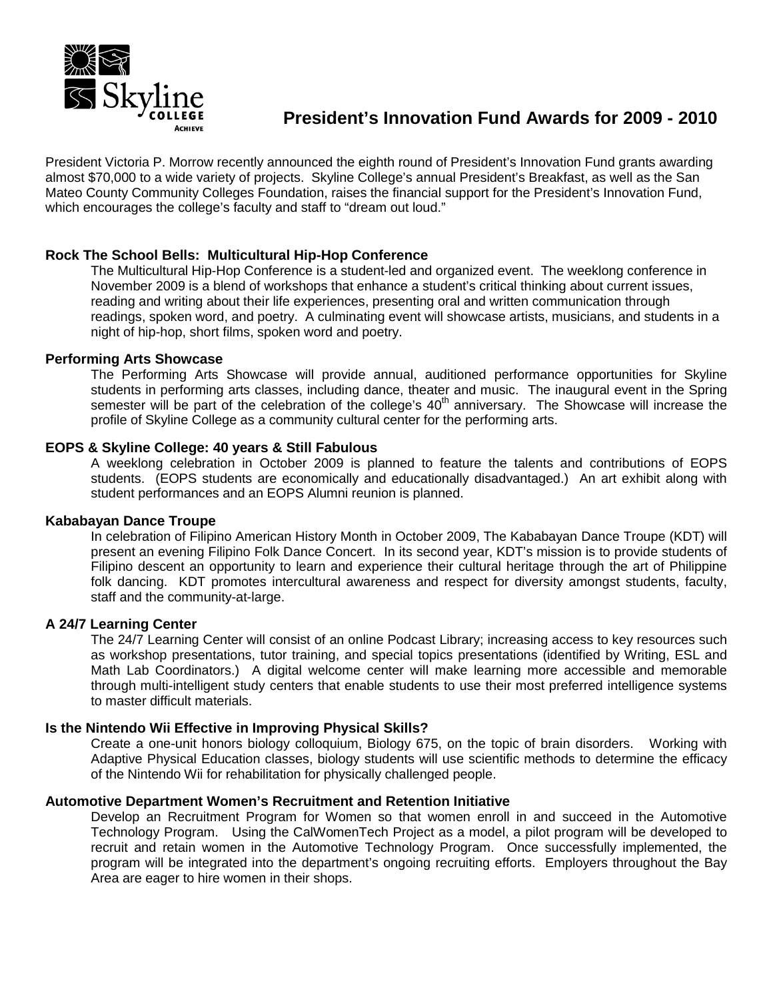

President Victoria P. Morrow recently announced the eighth round of President's Innovation Fund grants awarding almost \$70,000 to a wide variety of projects. Skyline College's annual President's Breakfast, as well as the San Mateo County Community Colleges Foundation, raises the financial support for the President's Innovation Fund, which encourages the college's faculty and staff to "dream out loud."

# **Rock The School Bells: Multicultural Hip-Hop Conference**

The Multicultural Hip-Hop Conference is a student-led and organized event. The weeklong conference in November 2009 is a blend of workshops that enhance a student's critical thinking about current issues, reading and writing about their life experiences, presenting oral and written communication through readings, spoken word, and poetry. A culminating event will showcase artists, musicians, and students in a night of hip-hop, short films, spoken word and poetry.

## **Performing Arts Showcase**

The Performing Arts Showcase will provide annual, auditioned performance opportunities for Skyline students in performing arts classes, including dance, theater and music. The inaugural event in the Spring semester will be part of the celebration of the college's 40<sup>th</sup> anniversary. The Showcase will increase the profile of Skyline College as a community cultural center for the performing arts.

## **EOPS & Skyline College: 40 years & Still Fabulous**

A weeklong celebration in October 2009 is planned to feature the talents and contributions of EOPS students. (EOPS students are economically and educationally disadvantaged.) An art exhibit along with student performances and an EOPS Alumni reunion is planned.

## **Kababayan Dance Troupe**

In celebration of Filipino American History Month in October 2009, The Kababayan Dance Troupe (KDT) will present an evening Filipino Folk Dance Concert. In its second year, KDT's mission is to provide students of Filipino descent an opportunity to learn and experience their cultural heritage through the art of Philippine folk dancing. KDT promotes intercultural awareness and respect for diversity amongst students, faculty, staff and the community-at-large.

## **A 24/7 Learning Center**

The 24/7 Learning Center will consist of an online Podcast Library; increasing access to key resources such as workshop presentations, tutor training, and special topics presentations (identified by Writing, ESL and Math Lab Coordinators.) A digital welcome center will make learning more accessible and memorable through multi-intelligent study centers that enable students to use their most preferred intelligence systems to master difficult materials.

#### **Is the Nintendo Wii Effective in Improving Physical Skills?**

Create a one-unit honors biology colloquium, Biology 675, on the topic of brain disorders. Working with Adaptive Physical Education classes, biology students will use scientific methods to determine the efficacy of the Nintendo Wii for rehabilitation for physically challenged people.

## **Automotive Department Women's Recruitment and Retention Initiative**

Develop an Recruitment Program for Women so that women enroll in and succeed in the Automotive Technology Program. Using the CalWomenTech Project as a model, a pilot program will be developed to recruit and retain women in the Automotive Technology Program. Once successfully implemented, the program will be integrated into the department's ongoing recruiting efforts. Employers throughout the Bay Area are eager to hire women in their shops.